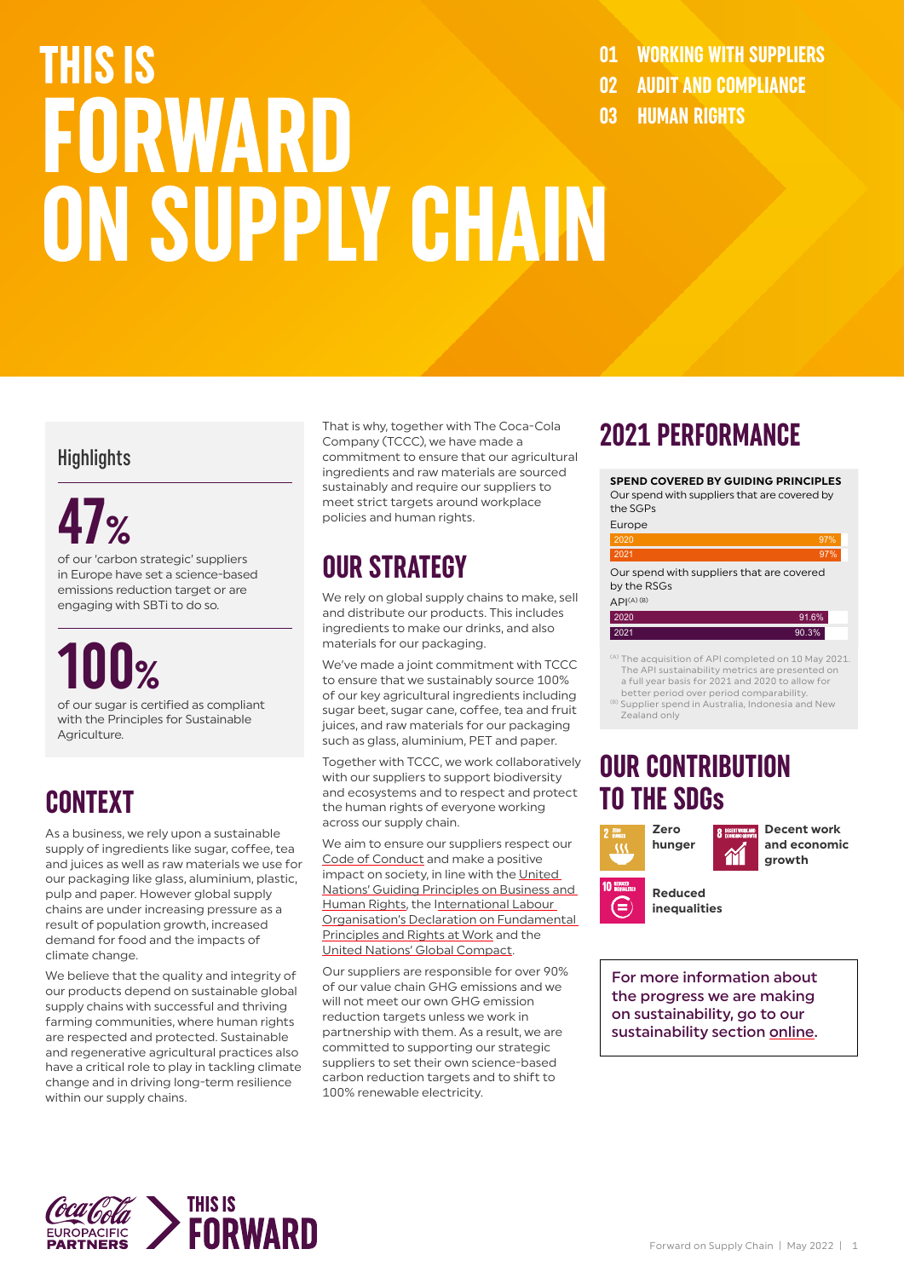### THIS IS FORWARD **ON SUPPLY CHAIN**

**01 WORKING WITH SUPPLIERS**

- **02 AUDIT AND COMPLIANCE**
- **03 HUMAN RIGHTS**

#### **Highlights**

### **47%**

of our 'carbon strategic' suppliers in Europe have set a science-based emissions reduction target or are engaging with SBTi to do so.



of our sugar is certified as compliant with the Principles for Sustainable Agriculture.

#### **CONTEXT**

As a business, we rely upon a sustainable supply of ingredients like sugar, coffee, tea and juices as well as raw materials we use for our packaging like glass, aluminium, plastic, pulp and paper. However global supply chains are under increasing pressure as a result of population growth, increased demand for food and the impacts of climate change.

We believe that the quality and integrity of our products depend on sustainable global supply chains with successful and thriving farming communities, where human rights are respected and protected. Sustainable and regenerative agricultural practices also have a critical role to play in tackling climate change and in driving long-term resilience within our supply chains.

That is why, together with The Coca-Cola Company (TCCC), we have made a commitment to ensure that our agricultural ingredients and raw materials are sourced sustainably and require our suppliers to meet strict targets around workplace policies and human rights.

#### **OUR STRATEGY**

We rely on global supply chains to make, sell and distribute our products. This includes ingredients to make our drinks, and also materials for our packaging.

We've made a joint commitment with TCCC to ensure that we sustainably source 100% of our key agricultural ingredients including sugar beet, sugar cane, coffee, tea and fruit juices, and raw materials for our packaging such as glass, aluminium, PET and paper.

Together with TCCC, we work collaboratively with our suppliers to support biodiversity and ecosystems and to respect and protect the human rights of everyone working across our supply chain.

We aim to ensure our suppliers respect our [Code of Conduct](http://www.ccepcoke.online/Code-of-Conduct-Policy/) and make a positive impact on society, in line with the [United](https://www.ohchr.org/sites/default/files/documents/publications/guidingprinciplesbusinesshr_en.pdf)  [Nations' Guiding Principles on Business and](https://www.ohchr.org/sites/default/files/documents/publications/guidingprinciplesbusinesshr_en.pdf)  [Human Rights,](https://www.ohchr.org/sites/default/files/documents/publications/guidingprinciplesbusinesshr_en.pdf) the International Labour [Organisation's Declaration on Fundamental](https://www.ilo.org/declaration/lang--en/index.htm)  [Principles and Rights at Work](https://www.ilo.org/declaration/lang--en/index.htm) and the [United Nations' Global Compact](https://www.unglobalcompact.org/).

Our suppliers are responsible for over 90% of our value chain GHG emissions and we will not meet our own GHG emission reduction targets unless we work in partnership with them. As a result, we are committed to supporting our strategic suppliers to set their own science-based carbon reduction targets and to shift to 100% renewable electricity.

#### **2021 PERFORMANCE**

**SPEND COVERED BY GUIDING PRINCIPLES** Our spend with suppliers that are covered by the SGPs Europe  $2020$  .  $97\%$  $2021$  97% Our spend with suppliers that are covered by the RSGs

| $\cdot$ ,              |       |
|------------------------|-------|
| API <sup>(A)</sup> (B) |       |
| 2020                   | 91.6% |
| 2021                   | 90.3% |
|                        |       |

(A) The acquisition of API completed on 10 May 2021. The API sustainability metrics are presented on a full year basis for 2021 and 2020 to allow for better period over period comparability.

Supplier spend in Australia, Indonesia and New Zealand only

#### **OUR CONTRIBUTION TO THE SDGs**



**R** DECENT WORK AND  $\mathbf{\widetilde{M}}$ 

**Decent work and economic growth**

∈

**Reduced inequalities**

For more information about the progress we are making on sustainability, go to our sustainability section [online](https://www.cocacolaep.com/sustainability/download-centre/).

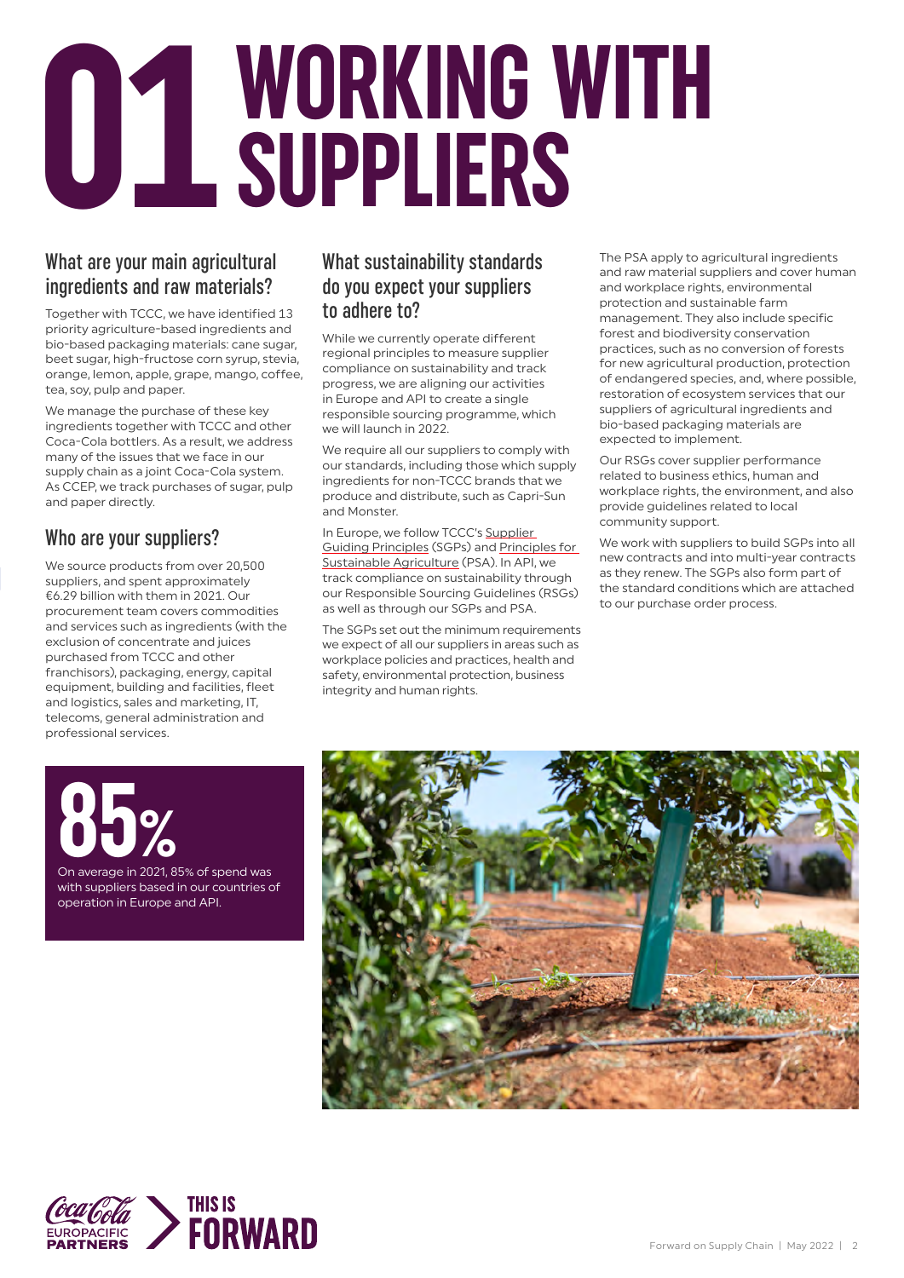# **O1 WORKING WITH**

#### What are your main agricultural ingredients and raw materials?

Together with TCCC, we have identified 13 priority agriculture-based ingredients and bio-based packaging materials: cane sugar, beet sugar, high-fructose corn syrup, stevia, orange, lemon, apple, grape, mango, coffee, tea, soy, pulp and paper.

We manage the purchase of these key ingredients together with TCCC and other Coca-Cola bottlers. As a result, we address many of the issues that we face in our supply chain as a joint Coca-Cola system. As CCEP, we track purchases of sugar, pulp and paper directly.

#### Who are your suppliers?

We source products from over 20,500 suppliers, and spent approximately €6.29 billion with them in 2021. Our procurement team covers commodities and services such as ingredients (with the exclusion of concentrate and juices purchased from TCCC and other franchisors), packaging, energy, capital equipment, building and facilities, fleet and logistics, sales and marketing, IT, telecoms, general administration and professional services.

#### What sustainability standards do you expect your suppliers to adhere to?

While we currently operate different regional principles to measure supplier compliance on sustainability and track progress, we are aligning our activities in Europe and API to create a single responsible sourcing programme, which we will launch in 2022.

We require all our suppliers to comply with our standards, including those which supply ingredients for non-TCCC brands that we produce and distribute, such as Capri-Sun and Monster.

In Europe, we follow TCCC's [Supplier](https://www.cocacolaep.com/assets/Sustainability/Documents/270be2a7f3/Supplier-Guiding-Principles-SGPs-v2.pdf)  [Guiding Principles](https://www.cocacolaep.com/assets/Sustainability/Documents/270be2a7f3/Supplier-Guiding-Principles-SGPs-v2.pdf) (SGPs) and [Principles for](https://www.cocacolaep.com/assets/Sustainability/Documents/ce3f791ffe/Principles_for_Sustainable-_Agriculture_PSA.pdf)  [Sustainable Agriculture](https://www.cocacolaep.com/assets/Sustainability/Documents/ce3f791ffe/Principles_for_Sustainable-_Agriculture_PSA.pdf) (PSA). In API, we track compliance on sustainability through our Responsible Sourcing Guidelines (RSGs) as well as through our SGPs and PSA.

The SGPs set out the minimum requirements we expect of all our suppliers in areas such as workplace policies and practices, health and safety, environmental protection, business integrity and human rights.

The PSA apply to agricultural ingredients and raw material suppliers and cover human and workplace rights, environmental protection and sustainable farm management. They also include specific forest and biodiversity conservation practices, such as no conversion of forests for new agricultural production, protection of endangered species, and, where possible, restoration of ecosystem services that our suppliers of agricultural ingredients and bio-based packaging materials are expected to implement.

Our RSGs cover supplier performance related to business ethics, human and workplace rights, the environment, and also provide guidelines related to local community support.

We work with suppliers to build SGPs into all new contracts and into multi-year contracts as they renew. The SGPs also form part of the standard conditions which are attached to our purchase order process.



with suppliers based in our countries of operation in Europe and API.



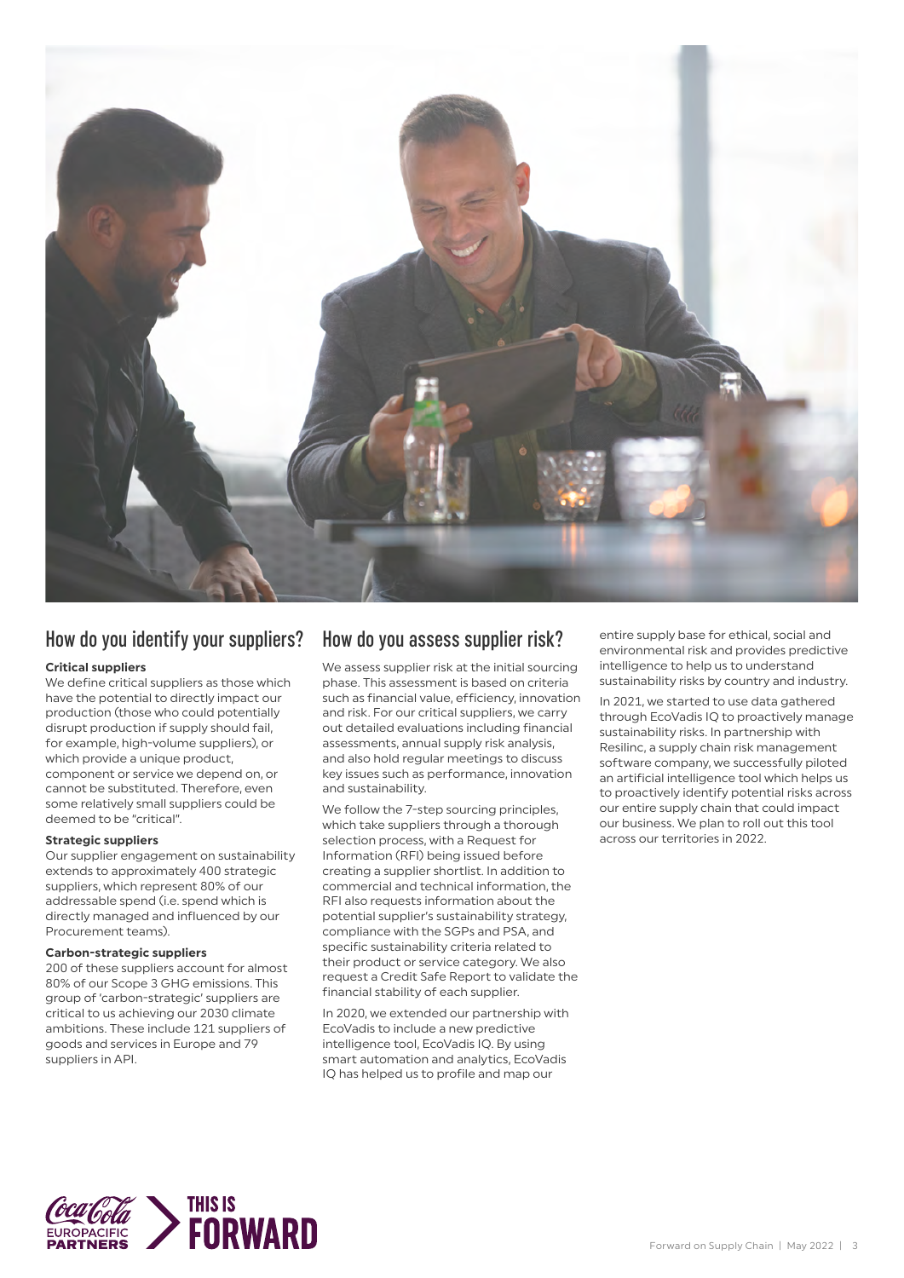

#### How do you identify your suppliers?

#### **Critical suppliers**

We define critical suppliers as those which have the potential to directly impact our production (those who could potentially disrupt production if supply should fail, for example, high-volume suppliers), or which provide a unique product. component or service we depend on, or cannot be substituted. Therefore, even some relatively small suppliers could be deemed to be "critical".

#### **Strategic suppliers**

Our supplier engagement on sustainability extends to approximately 400 strategic suppliers, which represent 80% of our addressable spend (i.e. spend which is directly managed and influenced by our Procurement teams).

#### **Carbon-strategic suppliers**

200 of these suppliers account for almost 80% of our Scope 3 GHG emissions. This group of 'carbon-strategic' suppliers are critical to us achieving our 2030 climate ambitions. These include 121 suppliers of goods and services in Europe and 79 suppliers in API.

#### How do you assess supplier risk?

We assess supplier risk at the initial sourcing phase. This assessment is based on criteria such as financial value, efficiency, innovation and risk. For our critical suppliers, we carry out detailed evaluations including financial assessments, annual supply risk analysis, and also hold regular meetings to discuss key issues such as performance, innovation and sustainability.

We follow the 7-step sourcing principles, which take suppliers through a thorough selection process, with a Request for Information (RFI) being issued before creating a supplier shortlist. In addition to commercial and technical information, the RFI also requests information about the potential supplier's sustainability strategy, compliance with the SGPs and PSA, and specific sustainability criteria related to their product or service category. We also request a Credit Safe Report to validate the financial stability of each supplier.

In 2020, we extended our partnership with EcoVadis to include a new predictive intelligence tool, EcoVadis IQ. By using smart automation and analytics, EcoVadis IQ has helped us to profile and map our

entire supply base for ethical, social and environmental risk and provides predictive intelligence to help us to understand sustainability risks by country and industry.

In 2021, we started to use data gathered through EcoVadis IQ to proactively manage sustainability risks. In partnership with Resilinc, a supply chain risk management software company, we successfully piloted an artificial intelligence tool which helps us to proactively identify potential risks across our entire supply chain that could impact our business. We plan to roll out this tool across our territories in 2022.

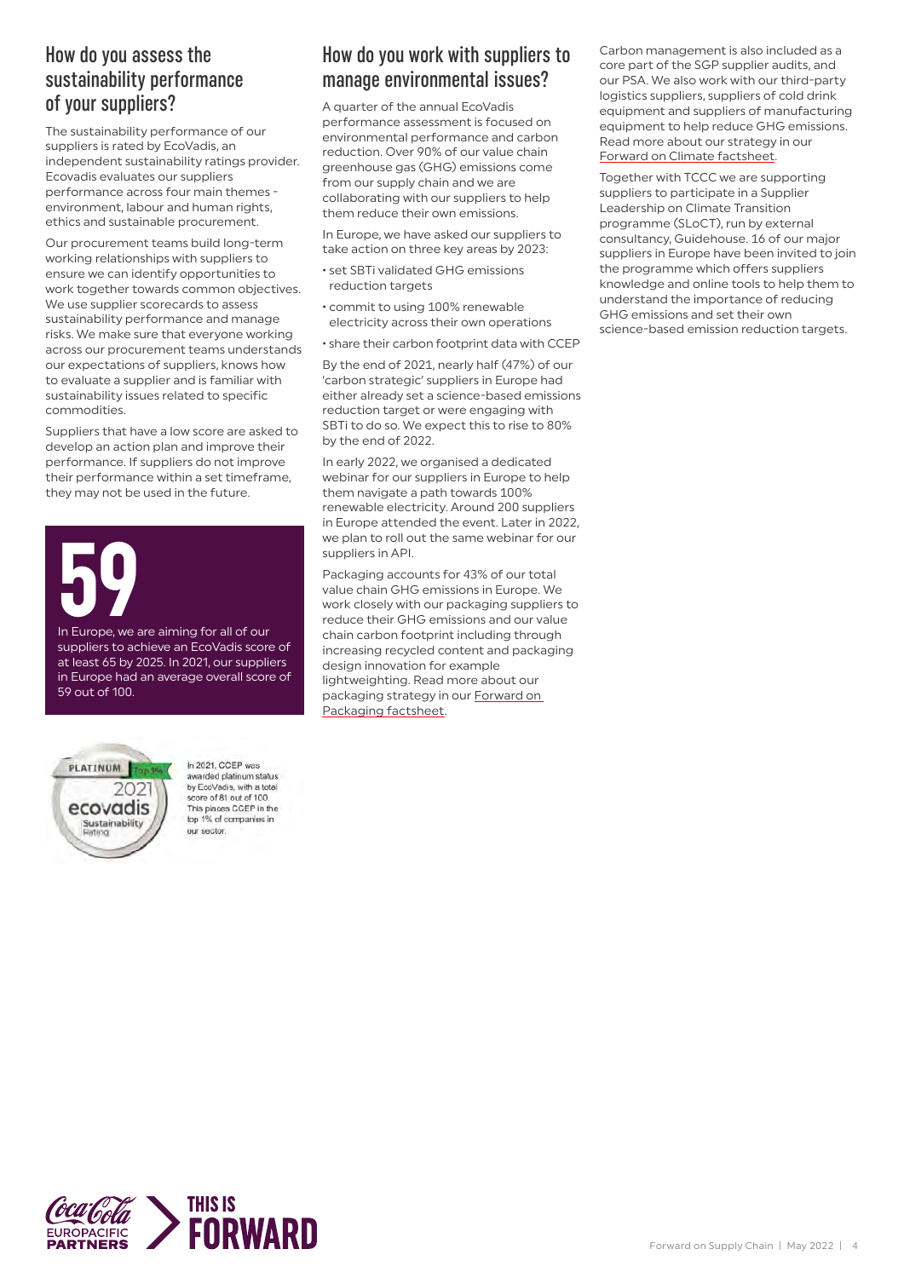#### How do you assess the sustainability performance of your suppliers?

The sustainability performance of our suppliers is rated by EcoVadis, an independent sustainability ratings provider. Ecovadis evaluates our suppliers performance across four main themes environment, labour and human rights, ethics and sustainable procurement.

Our procurement teams build long-term working relationships with suppliers to ensure we can identify opportunities to work together towards common objectives. We use supplier scorecards to assess sustainability performance and manage risks. We make sure that everyone working across our procurement teams understands our expectations of suppliers, knows how to evaluate a supplier and is familiar with sustainability issues related to specific commodities.

Suppliers that have a low score are asked to develop an action plan and improve their performance. If suppliers do not improve their performance within a set timeframe, they may not be used in the future.

## **59**<br>In Europe, we are aiming for all of our

suppliers to achieve an EcoVadis score of at least 65 by 2025. In 2021, our suppliers in Europe had an average overall score of 59 out of 100.



In 2021, CCEP was awarded platinum status by EcoVadis, with a total<br>score of 81 out of 100. This places CCEP in the top 1% of companies in our sector.

#### How do you work with suppliers to manage environmental issues?

A quarter of the annual EcoVadis performance assessment is focused on environmental performance and carbon reduction. Over 90% of our value chain greenhouse gas (GHG) emissions come from our supply chain and we are collaborating with our suppliers to help them reduce their own emissions.

In Europe, we have asked our suppliers to take action on three key areas by 2023:

- set SBTi validated GHG emissions reduction targets
- commit to using 100% renewable electricity across their own operations
- share their carbon footprint data with CCEP

By the end of 2021, nearly half (47%) of our 'carbon strategic' suppliers in Europe had either already set a science-based emissions reduction target or were engaging with SBTi to do so. We expect this to rise to 80% by the end of 2022.

In early 2022, we organised a dedicated webinar for our suppliers in Europe to help them navigate a path towards 100% renewable electricity. Around 200 suppliers in Europe attended the event. Later in 2022, we plan to roll out the same webinar for our suppliers in API.

Packaging accounts for 43% of our total value chain GHG emissions in Europe. We work closely with our packaging suppliers to reduce their GHG emissions and our value chain carbon footprint including through increasing recycled content and packaging design innovation for example lightweighting. Read more about our packaging strategy in our [Forward on](https://www.cocacolaep.com/sustainability/download-centre/)  [Packaging factsheet.](https://www.cocacolaep.com/sustainability/download-centre/)

Carbon management is also included as a core part of the SGP supplier audits, and our PSA. We also work with our third-party logistics suppliers, suppliers of cold drink equipment and suppliers of manufacturing equipment to help reduce GHG emissions. Read more about our strategy in our [Forward on Climate factsheet](https://www.cocacolaep.com/sustainability/download-centre/).

Together with TCCC we are supporting suppliers to participate in a Supplier Leadership on Climate Transition programme (SLoCT), run by external consultancy, Guidehouse. 16 of our major suppliers in Europe have been invited to join the programme which offers suppliers knowledge and online tools to help them to understand the importance of reducing GHG emissions and set their own science-based emission reduction targets.

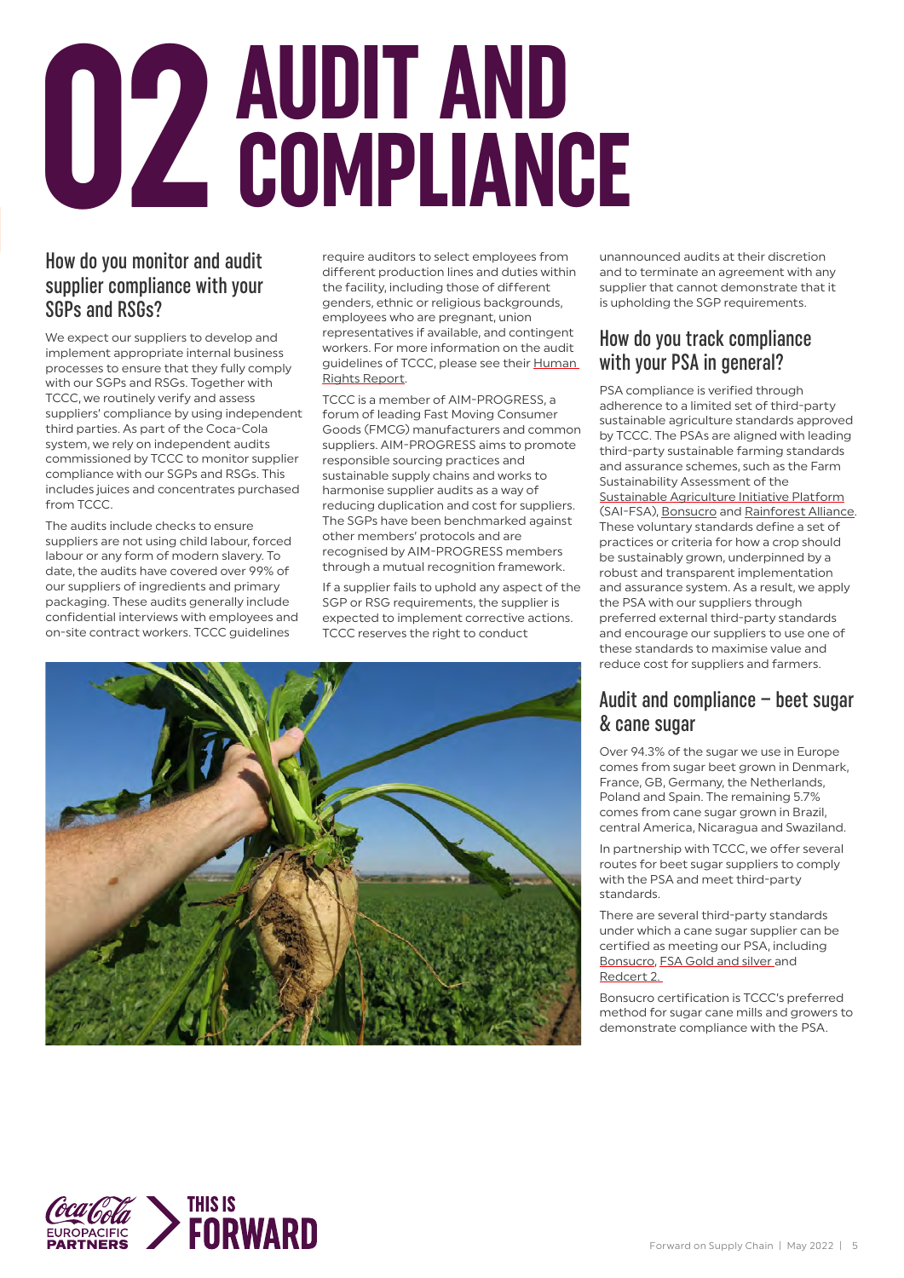# **AUDIT AND 02 COMPLIANCE**

#### How do you monitor and audit supplier compliance with your SGPs and RSGs?

We expect our suppliers to develop and implement appropriate internal business processes to ensure that they fully comply with our SGPs and RSGs. Together with TCCC, we routinely verify and assess suppliers' compliance by using independent third parties. As part of the Coca-Cola system, we rely on independent audits commissioned by TCCC to monitor supplier compliance with our SGPs and RSGs. This includes juices and concentrates purchased from TCCC.

The audits include checks to ensure suppliers are not using child labour, forced labour or any form of modern slavery. To date, the audits have covered over 99% of our suppliers of ingredients and primary packaging. These audits generally include confidential interviews with employees and on-site contract workers. TCCC guidelines

require auditors to select employees from different production lines and duties within the facility, including those of different genders, ethnic or religious backgrounds, employees who are pregnant, union representatives if available, and contingent workers. For more information on the audit guidelines of TCCC, please see their [Human](https://www.coca-colacompany.com/content/dam/journey/us/en/policies/pdf/human-workplace-rights/human-rights-principles/human-rights-overview-2022.pdf)  [Rights Report.](https://www.coca-colacompany.com/content/dam/journey/us/en/policies/pdf/human-workplace-rights/human-rights-principles/human-rights-overview-2022.pdf)

TCCC is a member of AIM-PROGRESS, a forum of leading Fast Moving Consumer Goods (FMCG) manufacturers and common suppliers. AIM-PROGRESS aims to promote responsible sourcing practices and sustainable supply chains and works to harmonise supplier audits as a way of reducing duplication and cost for suppliers. The SGPs have been benchmarked against other members' protocols and are recognised by AIM-PROGRESS members through a mutual recognition framework.

If a supplier fails to uphold any aspect of the SGP or RSG requirements, the supplier is expected to implement corrective actions. TCCC reserves the right to conduct



unannounced audits at their discretion and to terminate an agreement with any supplier that cannot demonstrate that it is upholding the SGP requirements.

#### How do you track compliance with your PSA in general?

PSA compliance is verified through adherence to a limited set of third-party sustainable agriculture standards approved by TCCC. The PSAs are aligned with leading third-party sustainable farming standards and assurance schemes, such as the Farm Sustainability Assessment of the [Sustainable Agriculture Initiative Platform](https://saiplatform.org/) (SAI-FSA), [Bonsucro](https://bonsucro.com/) and [Rainforest Alliance.](https://www.rainforest-alliance.org/) These voluntary standards define a set of practices or criteria for how a crop should be sustainably grown, underpinned by a robust and transparent implementation and assurance system. As a result, we apply the PSA with our suppliers through preferred external third-party standards and encourage our suppliers to use one of these standards to maximise value and reduce cost for suppliers and farmers.

#### Audit and compliance – beet sugar & cane sugar

Over 94.3% of the sugar we use in Europe comes from sugar beet grown in Denmark, France, GB, Germany, the Netherlands, Poland and Spain. The remaining 5.7% comes from cane sugar grown in Brazil, central America, Nicaragua and Swaziland.

In partnership with TCCC, we offer several routes for beet sugar suppliers to comply with the PSA and meet third-party standards.

There are several third-party standards under which a cane sugar supplier can be certified as meeting our PSA, including [Bonsucro](https://bonsucro.com/chain-custody-standard/), [FSA Gold and silver](https://saiplatform.org/fsa/) and [Redcert](https://www.redcert.org/en/) 2.

Bonsucro certification is TCCC's preferred method for sugar cane mills and growers to demonstrate compliance with the PSA.

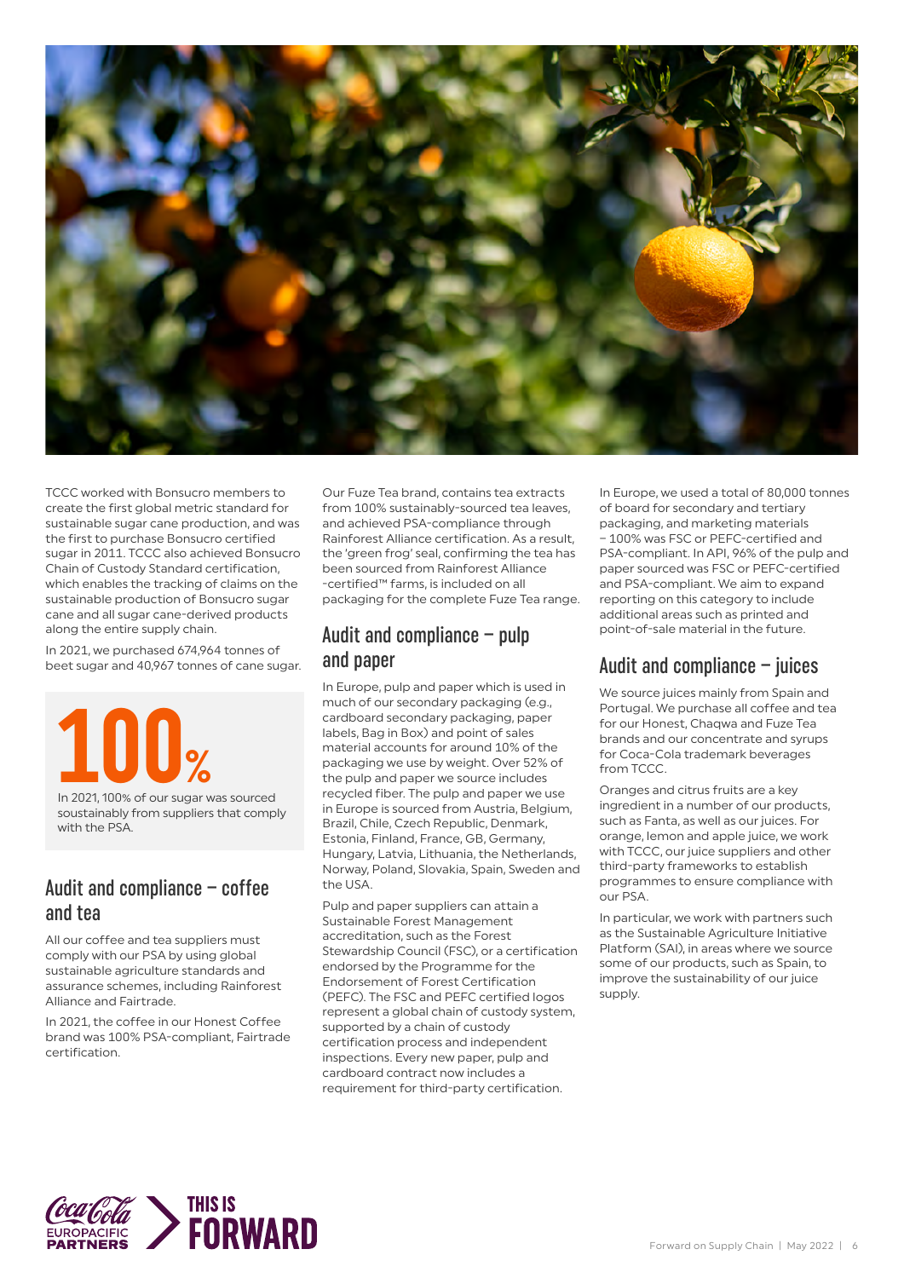

TCCC worked with Bonsucro members to create the first global metric standard for sustainable sugar cane production, and was the first to purchase Bonsucro certified sugar in 2011. TCCC also achieved Bonsucro Chain of Custody Standard certification, which enables the tracking of claims on the sustainable production of Bonsucro sugar cane and all sugar cane-derived products along the entire supply chain.

In 2021, we purchased 674,964 tonnes of beet sugar and 40,967 tonnes of cane sugar.

**100%** In 2021, 100% of our sugar was sourced

soustainably from suppliers that comply with the PSA.

#### Audit and compliance – coffee and tea

All our coffee and tea suppliers must comply with our PSA by using global sustainable agriculture standards and assurance schemes, including Rainforest Alliance and Fairtrade.

In 2021, the coffee in our Honest Coffee brand was 100% PSA-compliant, Fairtrade certification.

Our Fuze Tea brand, contains tea extracts from 100% sustainably-sourced tea leaves, and achieved PSA-compliance through Rainforest Alliance certification. As a result, the 'green frog' seal, confirming the tea has been sourced from Rainforest Alliance -certified™ farms, is included on all packaging for the complete Fuze Tea range.

#### Audit and compliance – pulp and paper

In Europe, pulp and paper which is used in much of our secondary packaging (e.g., cardboard secondary packaging, paper labels, Bag in Box) and point of sales material accounts for around 10% of the packaging we use by weight. Over 52% of the pulp and paper we source includes recycled fiber. The pulp and paper we use in Europe is sourced from Austria, Belgium, Brazil, Chile, Czech Republic, Denmark, Estonia, Finland, France, GB, Germany, Hungary, Latvia, Lithuania, the Netherlands, Norway, Poland, Slovakia, Spain, Sweden and the USA.

Pulp and paper suppliers can attain a Sustainable Forest Management accreditation, such as the Forest Stewardship Council (FSC), or a certification endorsed by the Programme for the Endorsement of Forest Certification (PEFC). The FSC and PEFC certified logos represent a global chain of custody system, supported by a chain of custody certification process and independent inspections. Every new paper, pulp and cardboard contract now includes a requirement for third-party certification.

In Europe, we used a total of 80,000 tonnes of board for secondary and tertiary packaging, and marketing materials – 100% was FSC or PEFC-certified and PSA-compliant. In API, 96% of the pulp and paper sourced was FSC or PEFC-certified and PSA-compliant. We aim to expand reporting on this category to include additional areas such as printed and point-of-sale material in the future.

#### Audit and compliance – juices

We source juices mainly from Spain and Portugal. We purchase all coffee and tea for our Honest, Chaqwa and Fuze Tea brands and our concentrate and syrups for Coca-Cola trademark beverages from TCCC.

Oranges and citrus fruits are a key ingredient in a number of our products, such as Fanta, as well as our juices. For orange, lemon and apple juice, we work with TCCC, our juice suppliers and other third-party frameworks to establish programmes to ensure compliance with our PSA.

In particular, we work with partners such as the Sustainable Agriculture Initiative Platform (SAI), in areas where we source some of our products, such as Spain, to improve the sustainability of our juice supply.